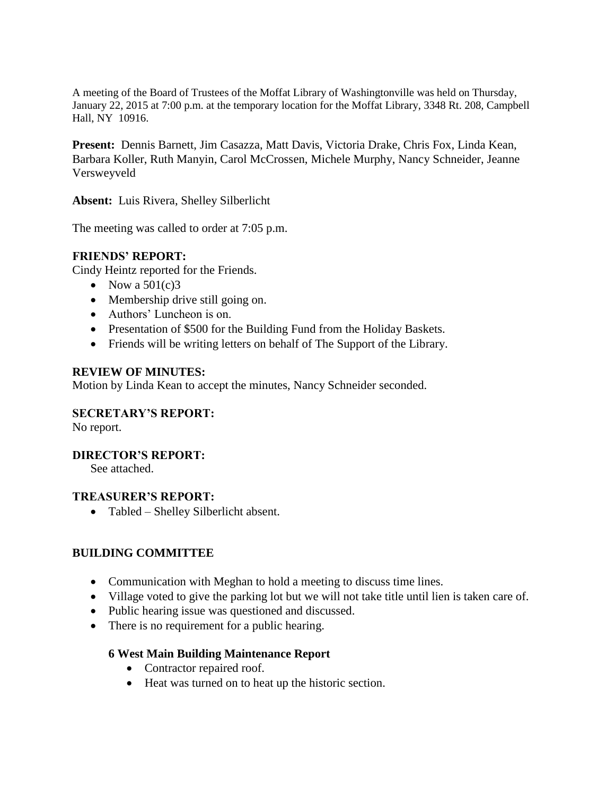A meeting of the Board of Trustees of the Moffat Library of Washingtonville was held on Thursday, January 22, 2015 at 7:00 p.m. at the temporary location for the Moffat Library, 3348 Rt. 208, Campbell Hall, NY 10916.

**Present:** Dennis Barnett, Jim Casazza, Matt Davis, Victoria Drake, Chris Fox, Linda Kean, Barbara Koller, Ruth Manyin, Carol McCrossen, Michele Murphy, Nancy Schneider, Jeanne Versweyveld

**Absent:** Luis Rivera, Shelley Silberlicht

The meeting was called to order at 7:05 p.m.

### **FRIENDS' REPORT:**

Cindy Heintz reported for the Friends.

- Now a  $501(c)3$
- Membership drive still going on.
- Authors' Luncheon is on.
- Presentation of \$500 for the Building Fund from the Holiday Baskets.
- Friends will be writing letters on behalf of The Support of the Library.

#### **REVIEW OF MINUTES:**

Motion by Linda Kean to accept the minutes, Nancy Schneider seconded.

#### **SECRETARY'S REPORT:**

No report.

### **DIRECTOR'S REPORT:**

See attached.

#### **TREASURER'S REPORT:**

Tabled – Shelley Silberlicht absent.

### **BUILDING COMMITTEE**

- Communication with Meghan to hold a meeting to discuss time lines.
- Village voted to give the parking lot but we will not take title until lien is taken care of.
- Public hearing issue was questioned and discussed.
- There is no requirement for a public hearing.

### **6 West Main Building Maintenance Report**

- Contractor repaired roof.
- Heat was turned on to heat up the historic section.